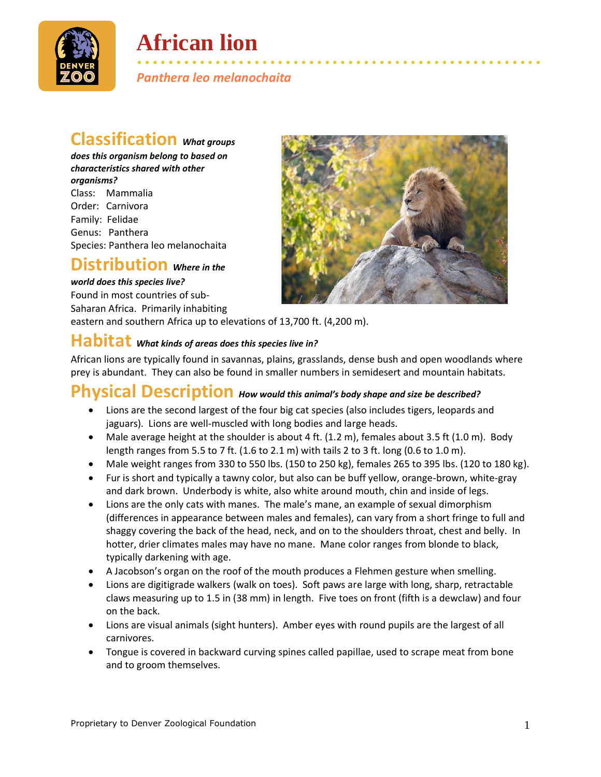

# **African lion**

• • • • • • • • • • • • • • • • • • • • • • • • • • • • • • • • • • • • • • • • • • • • • • • • • • • • *Panthera leo melanochaita*

# **Classification** *What groups*

*does this organism belong to based on characteristics shared with other organisms?* Class: Mammalia Order: Carnivora Family: Felidae Genus: Panthera Species: Panthera leo melanochaita

## **Distribution** *Where in the*

#### *world does this species live?*

Found in most countries of sub-Saharan Africa. Primarily inhabiting

eastern and southern Africa up to elevations of 13,700 ft. (4,200 m).

### **Habitat** *What kinds of areas does this species live in?*

African lions are typically found in savannas, plains, grasslands, dense bush and open woodlands where prey is abundant. They can also be found in smaller numbers in semidesert and mountain habitats.

# **Physical Description** *How would this animal's body shape and size be described?*

- Lions are the second largest of the four big cat species (also includes tigers, leopards and jaguars). Lions are well-muscled with long bodies and large heads.
- Male average height at the shoulder is about 4 ft. (1.2 m), females about 3.5 ft (1.0 m). Body length ranges from 5.5 to 7 ft. (1.6 to 2.1 m) with tails 2 to 3 ft. long (0.6 to 1.0 m).
- Male weight ranges from 330 to 550 lbs. (150 to 250 kg), females 265 to 395 lbs. (120 to 180 kg).
- Fur is short and typically a tawny color, but also can be buff yellow, orange-brown, white-gray and dark brown. Underbody is white, also white around mouth, chin and inside of legs.
- Lions are the only cats with manes. The male's mane, an example of sexual dimorphism (differences in appearance between males and females), can vary from a short fringe to full and shaggy covering the back of the head, neck, and on to the shoulders throat, chest and belly. In hotter, drier climates males may have no mane. Mane color ranges from blonde to black, typically darkening with age.
- A Jacobson's organ on the roof of the mouth produces a Flehmen gesture when smelling.
- Lions are digitigrade walkers (walk on toes). Soft paws are large with long, sharp, retractable claws measuring up to 1.5 in (38 mm) in length. Five toes on front (fifth is a dewclaw) and four on the back.
- Lions are visual animals (sight hunters). Amber eyes with round pupils are the largest of all carnivores.
- Tongue is covered in backward curving spines called papillae, used to scrape meat from bone and to groom themselves.

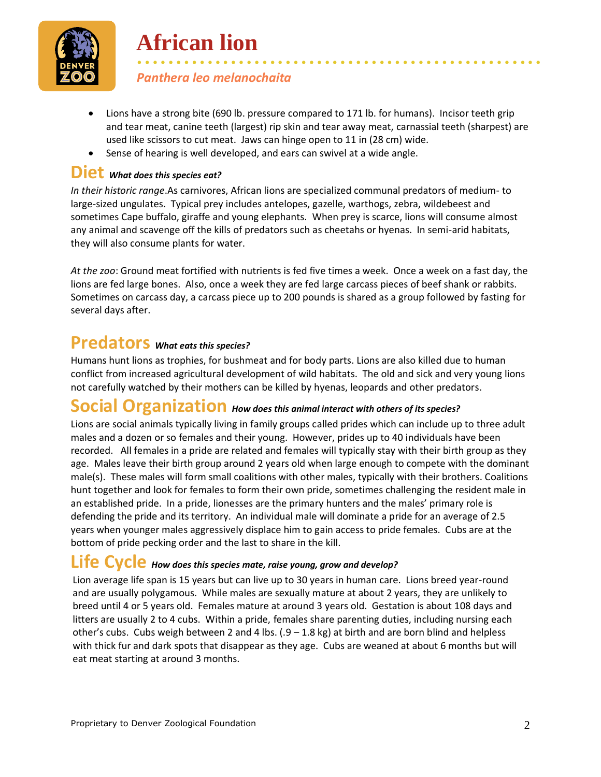

• • • • • • • • • • • • • • • • • • • • • • • • • • • • • • • • • • • • • • • • • • • • • • • • • • • • *Panthera leo melanochaita*

**African lion**

- Lions have a strong bite (690 lb. pressure compared to 171 lb. for humans). Incisor teeth grip and tear meat, canine teeth (largest) rip skin and tear away meat, carnassial teeth (sharpest) are used like scissors to cut meat. Jaws can hinge open to 11 in (28 cm) wide.
- Sense of hearing is well developed, and ears can swivel at a wide angle.

### **Diet** *What does this species eat?*

*In their historic range*.As carnivores, African lions are specialized communal predators of medium- to large-sized ungulates. Typical prey includes antelopes, gazelle, warthogs, zebra, wildebeest and sometimes Cape buffalo, giraffe and young elephants. When prey is scarce, lions will consume almost any animal and scavenge off the kills of predators such as cheetahs or hyenas. In semi-arid habitats, they will also consume plants for water.

*At the zoo*: Ground meat fortified with nutrients is fed five times a week. Once a week on a fast day, the lions are fed large bones. Also, once a week they are fed large carcass pieces of beef shank or rabbits. Sometimes on carcass day, a carcass piece up to 200 pounds is shared as a group followed by fasting for several days after.

### **Predators** *What eats this species?*

Humans hunt lions as trophies, for bushmeat and for body parts. Lions are also killed due to human conflict from increased agricultural development of wild habitats. The old and sick and very young lions not carefully watched by their mothers can be killed by hyenas, leopards and other predators.

### **Social Organization** *How does this animal interact with others of its species?*

Lions are social animals typically living in family groups called prides which can include up to three adult males and a dozen or so females and their young. However, prides up to 40 individuals have been recorded. All females in a pride are related and females will typically stay with their birth group as they age. Males leave their birth group around 2 years old when large enough to compete with the dominant male(s). These males will form small coalitions with other males, typically with their brothers. Coalitions hunt together and look for females to form their own pride, sometimes challenging the resident male in an established pride. In a pride, lionesses are the primary hunters and the males' primary role is defending the pride and its territory. An individual male will dominate a pride for an average of 2.5 years when younger males aggressively displace him to gain access to pride females. Cubs are at the bottom of pride pecking order and the last to share in the kill.

### **Life Cycle** *How does this species mate, raise young, grow and develop?*

Lion average life span is 15 years but can live up to 30 years in human care. Lions breed year-round and are usually polygamous. While males are sexually mature at about 2 years, they are unlikely to breed until 4 or 5 years old. Females mature at around 3 years old. Gestation is about 108 days and litters are usually 2 to 4 cubs. Within a pride, females share parenting duties, including nursing each other's cubs. Cubs weigh between 2 and 4 lbs.  $(.9 - 1.8 \text{ kg})$  at birth and are born blind and helpless with thick fur and dark spots that disappear as they age. Cubs are weaned at about 6 months but will eat meat starting at around 3 months.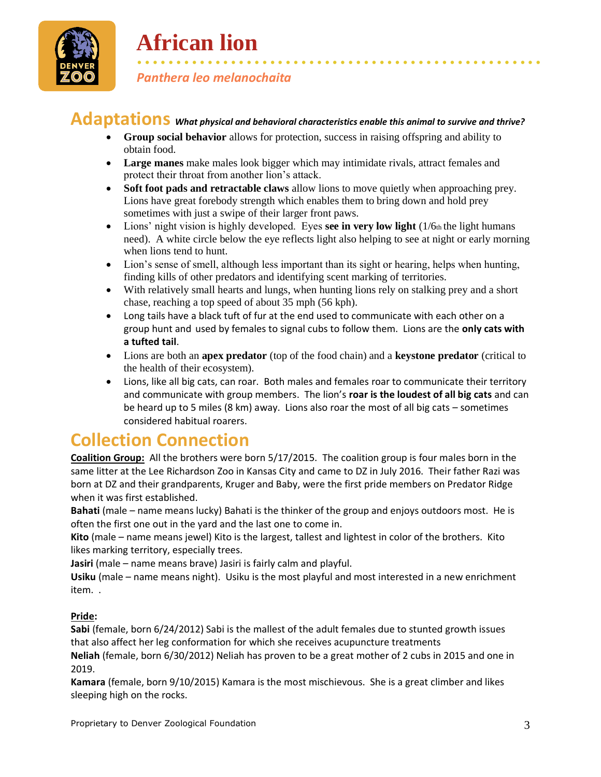

# **African lion**

### • • • • • • • • • • • • • • • • • • • • • • • • • • • • • • • • • • • • • • • • • • • • • • • • • • • • *Panthera leo melanochaita*

## **Adaptations** *What physical and behavioral characteristics enable this animal to survive and thrive?*

- **Group social behavior** allows for protection, success in raising offspring and ability to obtain food.
- **Large manes** make males look bigger which may intimidate rivals, attract females and protect their throat from another lion's attack.
- **Soft foot pads and retractable claws** allow lions to move quietly when approaching prey. Lions have great forebody strength which enables them to bring down and hold prey sometimes with just a swipe of their larger front paws.
- Lions' night vision is highly developed. Eyes see in very low light (1/6th the light humans need). A white circle below the eye reflects light also helping to see at night or early morning when lions tend to hunt.
- Lion's sense of smell, although less important than its sight or hearing, helps when hunting, finding kills of other predators and identifying scent marking of territories.
- With relatively small hearts and lungs, when hunting lions rely on stalking prey and a short chase, reaching a top speed of about 35 mph (56 kph).
- Long tails have a black tuft of fur at the end used to communicate with each other on a group hunt and used by females to signal cubs to follow them. Lions are the **only cats with a tufted tail**.
- Lions are both an **apex predator** (top of the food chain) and a **keystone predator** (critical to the health of their ecosystem).
- Lions, like all big cats, can roar. Both males and females roar to communicate their territory and communicate with group members. The lion's **roar is the loudest of all big cats** and can be heard up to 5 miles (8 km) away. Lions also roar the most of all big cats – sometimes considered habitual roarers.

## **Collection Connection**

**Coalition Group:** All the brothers were born 5/17/2015. The coalition group is four males born in the same litter at the Lee Richardson Zoo in Kansas City and came to DZ in July 2016. Their father Razi was born at DZ and their grandparents, Kruger and Baby, were the first pride members on Predator Ridge when it was first established.

**Bahati** (male – name means lucky) Bahati is the thinker of the group and enjoys outdoors most. He is often the first one out in the yard and the last one to come in.

**Kito** (male – name means jewel) Kito is the largest, tallest and lightest in color of the brothers. Kito likes marking territory, especially trees.

**Jasiri** (male – name means brave) Jasiri is fairly calm and playful.

**Usiku** (male – name means night). Usiku is the most playful and most interested in a new enrichment item. .

### **Pride:**

**Sabi** (female, born 6/24/2012) Sabi is the mallest of the adult females due to stunted growth issues that also affect her leg conformation for which she receives acupuncture treatments

**Neliah** (female, born 6/30/2012) Neliah has proven to be a great mother of 2 cubs in 2015 and one in 2019.

**Kamara** (female, born 9/10/2015) Kamara is the most mischievous. She is a great climber and likes sleeping high on the rocks.